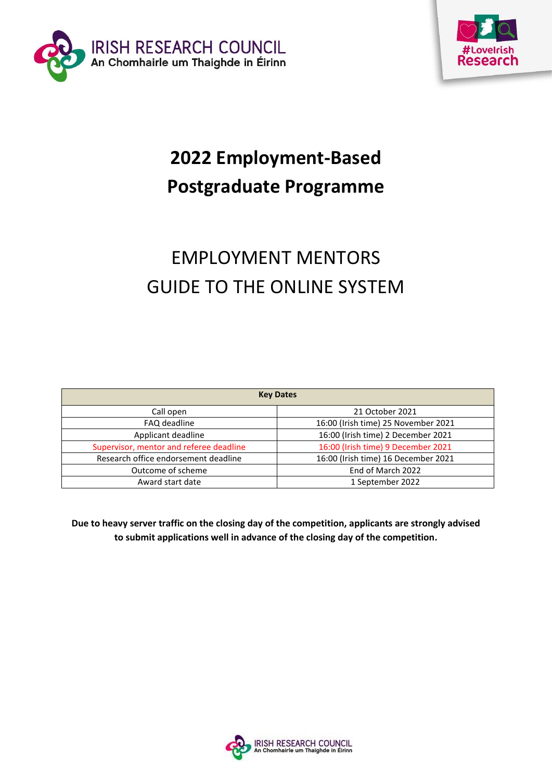



# **2022 Employment-Based Postgraduate Programme**

# EMPLOYMENT MENTORS GUIDE TO THE ONLINE SYSTEM

| <b>Key Dates</b>                        |                                     |
|-----------------------------------------|-------------------------------------|
| Call open                               | 21 October 2021                     |
| FAQ deadline                            | 16:00 (Irish time) 25 November 2021 |
| Applicant deadline                      | 16:00 (Irish time) 2 December 2021  |
| Supervisor, mentor and referee deadline | 16:00 (Irish time) 9 December 2021  |
| Research office endorsement deadline    | 16:00 (Irish time) 16 December 2021 |
| Outcome of scheme                       | End of March 2022                   |
| Award start date                        | 1 September 2022                    |

**Due to heavy server traffic on the closing day of the competition, applicants are strongly advised to submit applications well in advance of the closing day of the competition.**

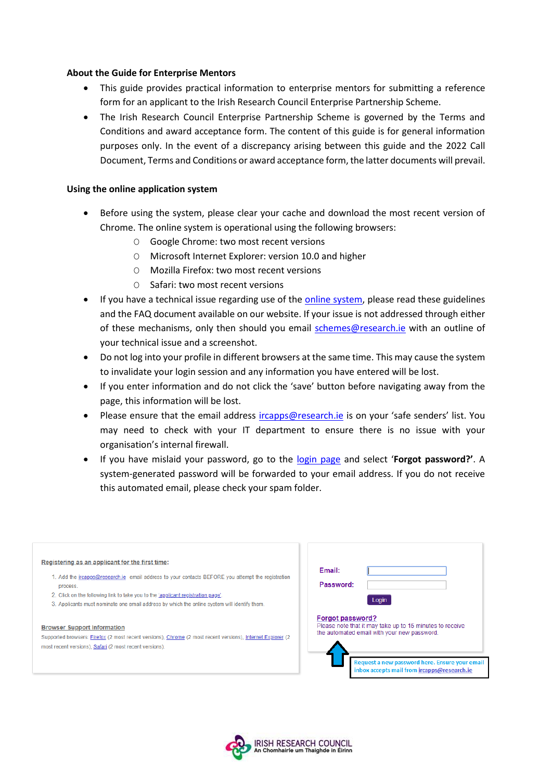#### **About the Guide for Enterprise Mentors**

- This guide provides practical information to enterprise mentors for submitting a reference form for an applicant to the Irish Research Council Enterprise Partnership Scheme.
- The Irish Research Council Enterprise Partnership Scheme is governed by the Terms and Conditions and award acceptance form. The content of this guide is for general information purposes only. In the event of a discrepancy arising between this guide and the 2022 Call Document, Terms and Conditions or award acceptance form, the latter documents will prevail.

#### **Using the online application system**

- Before using the system, please clear your cache and download the most recent version of Chrome. The online system is operational using the following browsers:
	- O Google Chrome: two most recent versions
	- O Microsoft Internet Explorer: version 10.0 and higher
	- O Mozilla Firefox: two most recent versions
	- O Safari: two most recent versions
- If you have a technical issue regarding use of the [online system,](https://irishresearch.smartsimple.ie/s_Login.jsp) please read these guidelines and the FAQ document available on our website. If your issue is not addressed through either of these mechanisms, only then should you email [schemes@research.ie](mailto:schemes@research.ie) with an outline of your technical issue and a screenshot.
- Do not log into your profile in different browsers at the same time. This may cause the system to invalidate your login session and any information you have entered will be lost.
- If you enter information and do not click the 'save' button before navigating away from the page, this information will be lost.
- Please ensure that the email address [ircapps@research.ie](mailto:ircapps@research.ie) is on your 'safe senders' list. You may need to check with your IT department to ensure there is no issue with your organisation's internal firewall.
- If you have mislaid your password, go to the [login page](https://irishresearch.smartsimple.ie/s_Login.jsp) and select '**Forgot password?'**. A system-generated password will be forwarded to your email address. If you do not receive this automated email, please check your spam folder.

| Registering as an applicant for the first time:<br>1. Add the incapps@research.ie email address to your contacts BEFORE you attempt the registration<br>process.<br>2. Click on the following link to take you to the 'applicant registration page'.<br>3. Applicants must nominate one email address by which the online system will identify them. | Email:<br>Password:<br>Login                                                                                                                                                                                                        |
|------------------------------------------------------------------------------------------------------------------------------------------------------------------------------------------------------------------------------------------------------------------------------------------------------------------------------------------------------|-------------------------------------------------------------------------------------------------------------------------------------------------------------------------------------------------------------------------------------|
| <b>Browser Support Information</b><br>Supported browsers: Firefox (2 most recent versions), Chrome (2 most recent versions), Internet Explorer (2<br>most recent versions), Safari (2 most recent versions).                                                                                                                                         | <b>Forgot password?</b><br>Please note that it may take up to 15 minutes to receive<br>the automated email with your new password.<br>Request a new password here. Ensure your email<br>inbox accepts mail from ircapps@research.ie |

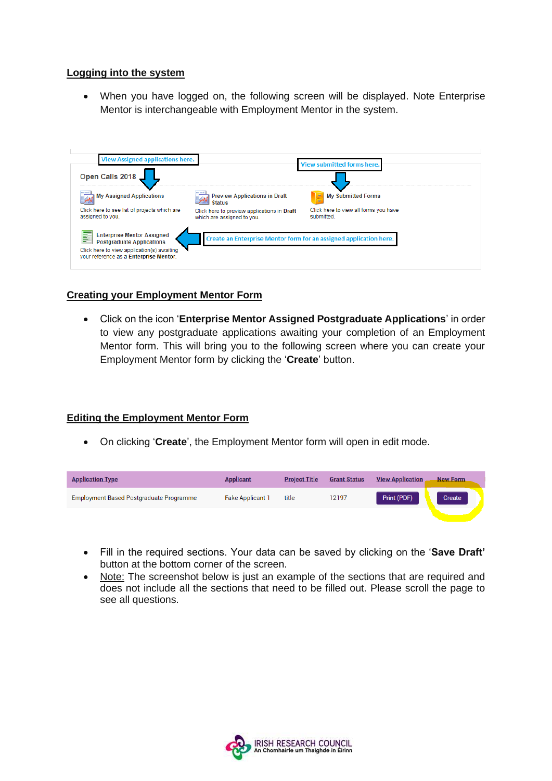#### **Logging into the system**

• When you have logged on, the following screen will be displayed. Note Enterprise Mentor is interchangeable with Employment Mentor in the system.



## **Creating your Employment Mentor Form**

• Click on the icon '**Enterprise Mentor Assigned Postgraduate Applications**' in order to view any postgraduate applications awaiting your completion of an Employment Mentor form. This will bring you to the following screen where you can create your Employment Mentor form by clicking the '**Create**' button.

#### **Editing the Employment Mentor Form**

• On clicking '**Create**', the Employment Mentor form will open in edit mode.

| <b>Application Type</b>                        | <b>Applicant</b>        | <b>Project Title</b> | <b>Grant Status</b> | <b>View Application</b> | <b>New Form</b> |
|------------------------------------------------|-------------------------|----------------------|---------------------|-------------------------|-----------------|
| <b>Employment Based Postgraduate Programme</b> | <b>Fake Applicant 1</b> | title                | 12197               | Print (PDF)             | Create          |
|                                                |                         |                      |                     |                         |                 |

- Fill in the required sections. Your data can be saved by clicking on the '**Save Draft'** button at the bottom corner of the screen.
- Note: The screenshot below is just an example of the sections that are required and does not include all the sections that need to be filled out. Please scroll the page to see all questions.

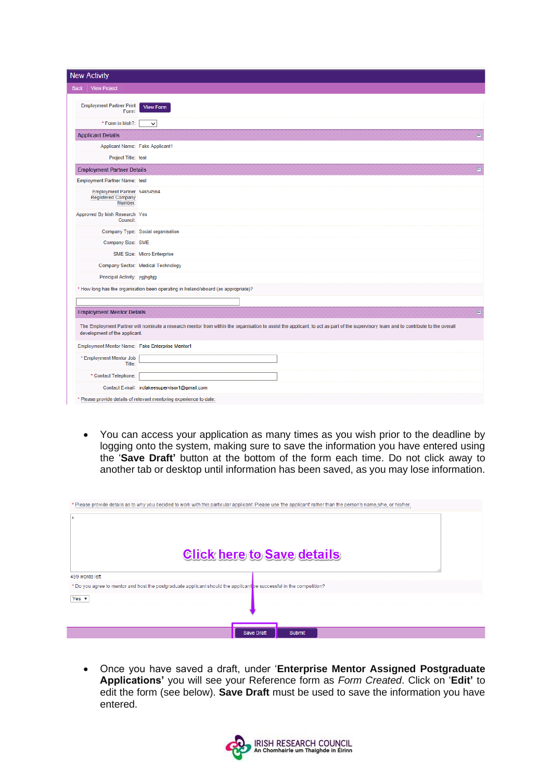| <b>New Activity</b>                                                 |                                                                                                                                                                                      |
|---------------------------------------------------------------------|--------------------------------------------------------------------------------------------------------------------------------------------------------------------------------------|
|                                                                     |                                                                                                                                                                                      |
| View Project<br><b>Back</b>                                         |                                                                                                                                                                                      |
| <b>Employment Partner Print</b><br>Form:                            | <b>View Form</b>                                                                                                                                                                     |
| * Form in Irish?:                                                   | v                                                                                                                                                                                    |
| <b>Applicant Details</b>                                            |                                                                                                                                                                                      |
|                                                                     | Applicant Name: Fake Applicant1                                                                                                                                                      |
| Project Title: test                                                 |                                                                                                                                                                                      |
| <b>Employment Partner Details</b>                                   | 日                                                                                                                                                                                    |
| Employment Partner Name: test                                       |                                                                                                                                                                                      |
| Employment Partner 54654564<br><b>Registered Company</b><br>Number: |                                                                                                                                                                                      |
| Approved By Irish Research Yes<br><b>Council:</b>                   |                                                                                                                                                                                      |
|                                                                     | Company Type: Social organisation                                                                                                                                                    |
| Company Size: SME                                                   |                                                                                                                                                                                      |
|                                                                     | SME Size: Micro Enterprise                                                                                                                                                           |
|                                                                     | Company Sector: Medical Technology                                                                                                                                                   |
| Principal Activity: ygjhghjg                                        |                                                                                                                                                                                      |
|                                                                     | * How long has the organisation been operating in Ireland/aboard (as appropriate)?                                                                                                   |
|                                                                     |                                                                                                                                                                                      |
| <b>Employment Mentor Details</b>                                    | E                                                                                                                                                                                    |
| development of the applicant.                                       | The Employment Partner will nominate a research mentor from within the organisation to assist the applicant, to act as part of the supervisory team and to contribute to the overall |
| Employment Mentor Name: Fake Enterprise Mentor1                     |                                                                                                                                                                                      |
| * Employment Mentor Job<br>Title:                                   |                                                                                                                                                                                      |
| * Contact Telephone:                                                |                                                                                                                                                                                      |
|                                                                     | Contact E-mail: ircfakeesupervisor1@gmail.com                                                                                                                                        |
|                                                                     | * Please provide details of relevant mentoring experience to date:                                                                                                                   |

• You can access your application as many times as you wish prior to the deadline by logging onto the system, making sure to save the information you have entered using the '**Save Draft'** button at the bottom of the form each time. Do not click away to another tab or desktop until information has been saved, as you may lose information.

| * Please provide details as to why you decided to work with this particular applicant. Please use 'the applicant' rather than the person's name,s/he, or his/her. |               |
|-------------------------------------------------------------------------------------------------------------------------------------------------------------------|---------------|
| lχ                                                                                                                                                                |               |
| <b>Click here to Save details</b><br>499 words left                                                                                                               |               |
|                                                                                                                                                                   |               |
| * Do you agree to mentor and host the postgraduate applicant should the applicant be successful in the competition?                                               |               |
| Yes $\mathbf v$                                                                                                                                                   |               |
|                                                                                                                                                                   |               |
| <b>Save Draft</b>                                                                                                                                                 | <b>Submit</b> |

• Once you have saved a draft, under '**Enterprise Mentor Assigned Postgraduate Applications'** you will see your Reference form as *Form Created*. Click on '**Edit'** to edit the form (see below). **Save Draft** must be used to save the information you have entered.

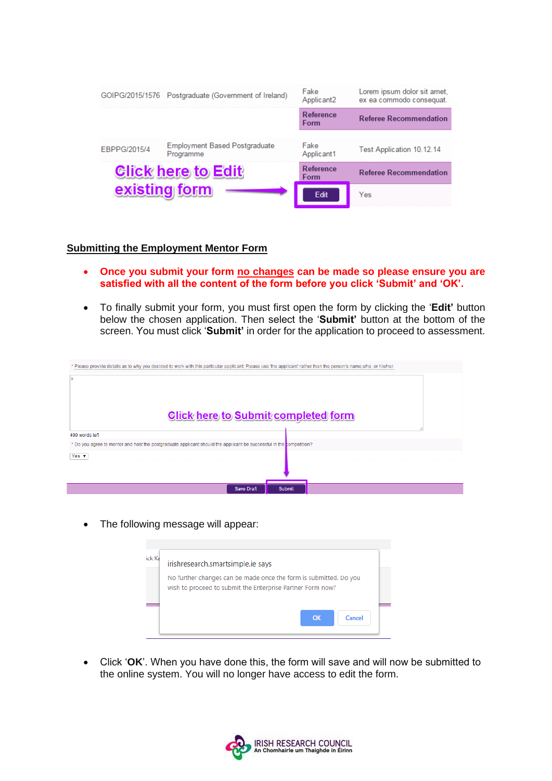|              | GOIPG/2015/1576 Postgraduate (Government of Ireland) | Fake<br>Applicant <sub>2</sub> | Lorem ipsum dolor sit amet,<br>ex ea commodo consequat. |
|--------------|------------------------------------------------------|--------------------------------|---------------------------------------------------------|
|              |                                                      | Reference<br>Form              | <b>Referee Recommendation</b>                           |
|              |                                                      |                                |                                                         |
| EBPPG/2015/4 | <b>Employment Based Postgraduate</b><br>Programme    | Fake<br>Applicant1             | Test Application 10.12.14                               |
|              | <b>Click here to Edit</b>                            | Reference<br>Form              | <b>Referee Recommendation</b>                           |
|              | existing form                                        | Edit                           | Yes                                                     |

#### **Submitting the Employment Mentor Form**

- **Once you submit your form no changes can be made so please ensure you are satisfied with all the content of the form before you click 'Submit' and 'OK'.**
- To finally submit your form, you must first open the form by clicking the '**Edit'** button below the chosen application. Then select the '**Submit'** button at the bottom of the screen. You must click '**Submit'** in order for the application to proceed to assessment.

| Please provide details as to why you decided to work with this particular applicant: Please use 'the applicant' rather than the person's name,s/he, or his/her. |  |
|-----------------------------------------------------------------------------------------------------------------------------------------------------------------|--|
| X<br><b>Click here to Submit completed form</b>                                                                                                                 |  |
| 499 words left                                                                                                                                                  |  |
| * Do you agree to mentor and host the postgraduate applicant should the applicant be successful in the competition?                                             |  |
| Yes $\mathbf v$                                                                                                                                                 |  |
|                                                                                                                                                                 |  |
| <b>Save Draft</b><br><b>Submit</b>                                                                                                                              |  |

• The following message will appear:

| irishresearch.smartsimple.ie says |                                                                                                                                 |
|-----------------------------------|---------------------------------------------------------------------------------------------------------------------------------|
|                                   | No further changes can be made once the form is submitted. Do you<br>wish to proceed to submit the Enterprise Partner Form now? |
|                                   | OK<br>Cancel                                                                                                                    |

• Click '**OK**'. When you have done this, the form will save and will now be submitted to the online system. You will no longer have access to edit the form.